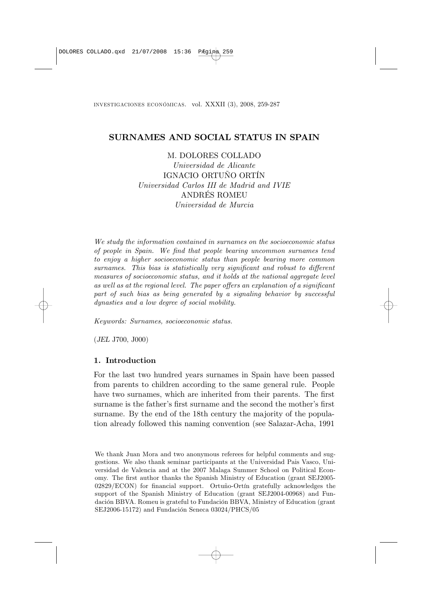# SURNAMES AND SOCIAL STATUS IN SPAIN

M. DOLORES COLLADO

Universidad de Alicante IGNACIO ORTUÑO ORTÍN Universidad Carlos III de Madrid and IVIE ANDRÉS ROMEU Universidad de Murcia

We study the information contained in surnames on the socioeconomic status of people in Spain. We find that people bearing uncommon surnames tend to enjoy a higher socioeconomic status than people bearing more common surnames. This bias is statistically very significant and robust to different measures of socioeconomic status, and it holds at the national aggregate level as well as at the regional level. The paper offers an explanation of a significant part of such bias as being generated by a signaling behavior by successful dynasties and a low degree of social mobility.

Keywords: Surnames, socioeconomic status.

(JEL J700, J000)

## 1. Introduction

For the last two hundred years surnames in Spain have been passed from parents to children according to the same general rule. People have two surnames, which are inherited from their parents. The first surname is the father's first surname and the second the mother's first surname. By the end of the 18th century the majority of the population already followed this naming convention (see Salazar-Acha, 1991

We thank Juan Mora and two anonymous referees for helpful comments and suggestions. We also thank seminar participants at the Universidad Pais Vasco, Universidad de Valencia and at the 2007 Malaga Summer School on Political Economy. The first author thanks the Spanish Ministry of Education (grant SEJ2005- 02829/ECON) for financial support. Ortuño-Ortín gratefully acknowledges the support of the Spanish Ministry of Education (grant SEJ2004-00968) and Fundación BBVA. Romeu is grateful to Fundación BBVA, Ministry of Education (grant SEJ2006-15172) and Fundación Seneca 03024/PHCS/05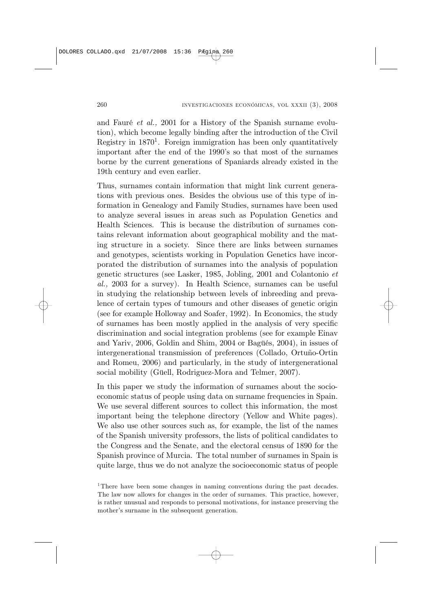and Fauré et al., 2001 for a History of the Spanish surname evolution), which become legally binding after the introduction of the Civil Registry in  $1870<sup>1</sup>$ . Foreign immigration has been only quantitatively important after the end of the 1990's so that most of the surnames borne by the current generations of Spaniards already existed in the 19th century and even earlier.

Thus, surnames contain information that might link current generations with previous ones. Besides the obvious use of this type of information in Genealogy and Family Studies, surnames have been used to analyze several issues in areas such as Population Genetics and Health Sciences. This is because the distribution of surnames contains relevant information about geographical mobility and the mating structure in a society. Since there are links between surnames and genotypes, scientists working in Population Genetics have incorporated the distribution of surnames into the analysis of population genetic structures (see Lasker, 1985, Jobling, 2001 and Colantonio et al., 2003 for a survey). In Health Science, surnames can be useful in studying the relationship between levels of inbreeding and prevalence of certain types of tumours and other diseases of genetic origin (see for example Holloway and Soafer, 1992). In Economics, the study of surnames has been mostly applied in the analysis of very specific discrimination and social integration problems (see for example Einav and Yariv, 2006, Goldin and Shim, 2004 or Bagüés, 2004), in issues of intergenerational transmission of preferences (Collado, Ortuño-Ortin and Romeu, 2006) and particularly, in the study of intergenerational social mobility (Güell, Rodriguez-Mora and Telmer, 2007).

In this paper we study the information of surnames about the socioeconomic status of people using data on surname frequencies in Spain. We use several different sources to collect this information, the most important being the telephone directory (Yellow and White pages). We also use other sources such as, for example, the list of the names of the Spanish university professors, the lists of political candidates to the Congress and the Senate, and the electoral census of 1890 for the Spanish province of Murcia. The total number of surnames in Spain is quite large, thus we do not analyze the socioeconomic status of people

<sup>&</sup>lt;sup>1</sup>There have been some changes in naming conventions during the past decades. The law now allows for changes in the order of surnames. This practice, however, is rather unusual and responds to personal motivations, for instance preserving the mother's surname in the subsequent generation.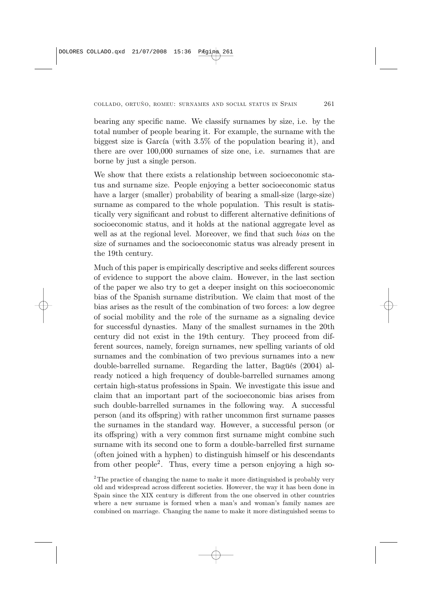bearing any specific name. We classify surnames by size, i.e. by the total number of people bearing it. For example, the surname with the biggest size is García (with 3.5% of the population bearing it), and there are over 100,000 surnames of size one, i.e. surnames that are borne by just a single person.

We show that there exists a relationship between socioeconomic status and surname size. People enjoying a better socioeconomic status have a larger (smaller) probability of bearing a small-size (large-size) surname as compared to the whole population. This result is statistically very significant and robust to different alternative definitions of socioeconomic status, and it holds at the national aggregate level as well as at the regional level. Moreover, we find that such *bias* on the size of surnames and the socioeconomic status was already present in the 19th century.

Much of this paper is empirically descriptive and seeks different sources of evidence to support the above claim. However, in the last section of the paper we also try to get a deeper insight on this socioeconomic bias of the Spanish surname distribution. We claim that most of the bias arises as the result of the combination of two forces: a low degree of social mobility and the role of the surname as a signaling device for successful dynasties. Many of the smallest surnames in the 20th century did not exist in the 19th century. They proceed from different sources, namely, foreign surnames, new spelling variants of old surnames and the combination of two previous surnames into a new double-barrelled surname. Regarding the latter, Bagüés (2004) already noticed a high frequency of double-barrelled surnames among certain high-status professions in Spain. We investigate this issue and claim that an important part of the socioeconomic bias arises from such double-barrelled surnames in the following way. A successful person (and its offspring) with rather uncommon first surname passes the surnames in the standard way. However, a successful person (or its offspring) with a very common first surname might combine such surname with its second one to form a double-barrelled first surname (often joined with a hyphen) to distinguish himself or his descendants from other people2. Thus, every time a person enjoying a high so-

<sup>&</sup>lt;sup>2</sup>The practice of changing the name to make it more distinguished is probably very old and widespread across different societies. However, the way it has been done in Spain since the XIX century is different from the one observed in other countries where a new surname is formed when a man's and woman's family names are combined on marriage. Changing the name to make it more distinguished seems to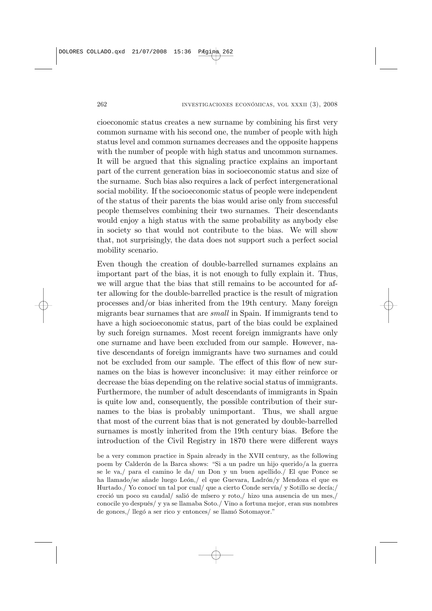cioeconomic status creates a new surname by combining his first very common surname with his second one, the number of people with high status level and common surnames decreases and the opposite happens with the number of people with high status and uncommon surnames. It will be argued that this signaling practice explains an important part of the current generation bias in socioeconomic status and size of the surname. Such bias also requires a lack of perfect intergenerational social mobility. If the socioeconomic status of people were independent of the status of their parents the bias would arise only from successful people themselves combining their two surnames. Their descendants would enjoy a high status with the same probability as anybody else in society so that would not contribute to the bias. We will show that, not surprisingly, the data does not support such a perfect social mobility scenario.

Even though the creation of double-barrelled surnames explains an important part of the bias, it is not enough to fully explain it. Thus, we will argue that the bias that still remains to be accounted for after allowing for the double-barrelled practice is the result of migration processes and/or bias inherited from the 19th century. Many foreign migrants bear surnames that are small in Spain. If immigrants tend to have a high socioeconomic status, part of the bias could be explained by such foreign surnames. Most recent foreign immigrants have only one surname and have been excluded from our sample. However, native descendants of foreign immigrants have two surnames and could not be excluded from our sample. The effect of this flow of new surnames on the bias is however inconclusive: it may either reinforce or decrease the bias depending on the relative social status of immigrants. Furthermore, the number of adult descendants of immigrants in Spain is quite low and, consequently, the possible contribution of their surnames to the bias is probably unimportant. Thus, we shall argue that most of the current bias that is not generated by double-barrelled surnames is mostly inherited from the 19th century bias. Before the introduction of the Civil Registry in 1870 there were different ways

be a very common practice in Spain already in the XVII century, as the following poem by Calderón de la Barca shows: "Si a un padre un hijo querido/a la guerra se le va,/ para el camino le da/ un Don y un buen apellido./ El que Ponce se ha llamado/se añade luego León,/ el que Guevara, Ladrón/y Mendoza el que es Hurtado./ Yo conocí un tal por cual/ que a cierto Conde servía/ y Sotillo se decía;/ creció un poco su caudal/ salió de mísero y roto,/ hizo una ausencia de un mes,/ conocile yo después/ y ya se llamaba Soto./ Vino a fortuna mejor, eran sus nombres de gonces,/ llegó a ser rico y entonces/ se llamó Sotomayor."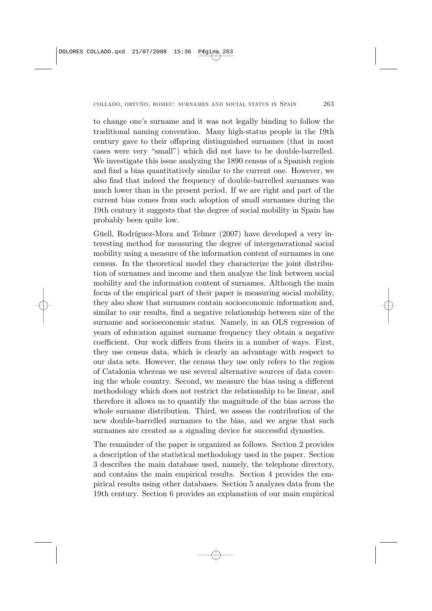to change one's surname and it was not legally binding to follow the traditional naming convention. Many high-status people in the 19th century gave to their offspring distinguished surnames (that in most cases were very "small") which did not have to be double-barrelled. We investigate this issue analyzing the 1890 census of a Spanish region and find a bias quantitatively similar to the current one. However, we also find that indeed the frequency of double-barrelled surnames was much lower than in the present period. If we are right and part of the current bias comes from such adoption of small surnames during the 19th century it suggests that the degree of social mobility in Spain has probably been quite low.

Güell, Rodríguez-Mora and Telmer (2007) have developed a very interesting method for measuring the degree of intergenerational social mobility using a measure of the information content of surnames in one census. In the theoretical model they characterize the joint distribution of surnames and income and then analyze the link between social mobility and the information content of surnames. Although the main focus of the empirical part of their paper is measuring social mobility, they also show that surnames contain socioeconomic information and, similar to our results, find a negative relationship between size of the surname and socioeconomic status. Namely, in an OLS regression of years of education against surname frequency they obtain a negative coefficient. Our work differs from theirs in a number of ways. First, they use census data, which is clearly an advantage with respect to our data sets. However, the census they use only refers to the region of Catalonia whereas we use several alternative sources of data covering the whole country. Second, we measure the bias using a different methodology which does not restrict the relationship to be linear, and therefore it allows us to quantify the magnitude of the bias across the whole surname distribution. Third, we assess the contribution of the new double-barrelled surnames to the bias, and we argue that such surnames are created as a signaling device for successful dynasties.

The remainder of the paper is organized as follows. Section 2 provides a description of the statistical methodology used in the paper. Section 3 describes the main database used, namely, the telephone directory, and contains the main empirical results. Section 4 provides the empirical results using other databases. Section 5 analyzes data from the 19th century. Section 6 provides an explanation of our main empirical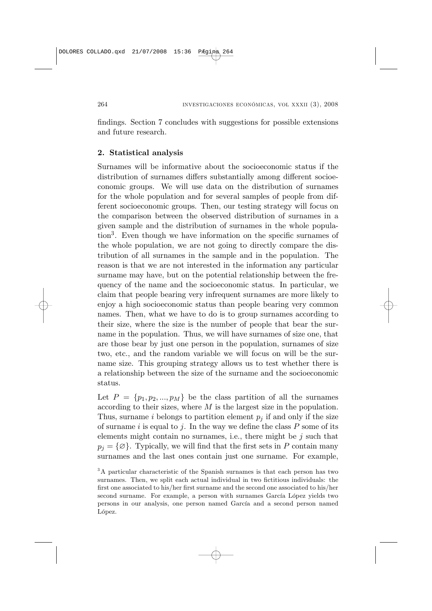findings. Section 7 concludes with suggestions for possible extensions and future research.

## 2. Statistical analysis

Surnames will be informative about the socioeconomic status if the distribution of surnames differs substantially among different socioeconomic groups. We will use data on the distribution of surnames for the whole population and for several samples of people from different socioeconomic groups. Then, our testing strategy will focus on the comparison between the observed distribution of surnames in a given sample and the distribution of surnames in the whole population3. Even though we have information on the specific surnames of the whole population, we are not going to directly compare the distribution of all surnames in the sample and in the population. The reason is that we are not interested in the information any particular surname may have, but on the potential relationship between the frequency of the name and the socioeconomic status. In particular, we claim that people bearing very infrequent surnames are more likely to enjoy a high socioeconomic status than people bearing very common names. Then, what we have to do is to group surnames according to their size, where the size is the number of people that bear the surname in the population. Thus, we will have surnames of size one, that are those bear by just one person in the population, surnames of size two, etc., and the random variable we will focus on will be the surname size. This grouping strategy allows us to test whether there is a relationship between the size of the surname and the socioeconomic status.

Let  $P = \{p_1, p_2, ..., p_M\}$  be the class partition of all the surnames according to their sizes, where  $M$  is the largest size in the population. Thus, surname i belongs to partition element  $p_i$  if and only if the size of surname i is equal to j. In the way we define the class  $P$  some of its elements might contain no surnames, i.e., there might be  $j$  such that  $p_j = {\emptyset}.$  Typically, we will find that the first sets in P contain many surnames and the last ones contain just one surname. For example,

<sup>&</sup>lt;sup>3</sup>A particular characteristic of the Spanish surnames is that each person has two surnames. Then, we split each actual individual in two fictitious individuals: the first one associated to his/her first surname and the second one associated to his/her second surname. For example, a person with surnames García López yields two persons in our analysis, one person named García and a second person named López.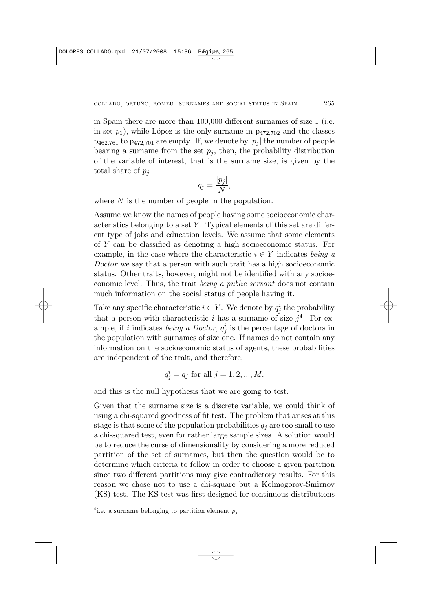in Spain there are more than  $100,000$  different surnames of size 1 (i.e. in set  $p_1$ ), while López is the only surname in  $p_{472,702}$  and the classes  $p_{462,761}$  to  $p_{472,701}$  are empty. If, we denote by  $|p_i|$  the number of people bearing a surname from the set  $p_i$ , then, the probability distribution of the variable of interest, that is the surname size, is given by the total share of  $p_i$ 

$$
q_j = \frac{|p_j|}{N},
$$

where  $N$  is the number of people in the population.

Assume we know the names of people having some socioeconomic characteristics belonging to a set  $Y$ . Typical elements of this set are different type of jobs and education levels. We assume that some elements of  $\overline{Y}$  can be classified as denoting a high socioeconomic status. For example, in the case where the characteristic  $i \in Y$  indicates being a Doctor we say that a person with such trait has a high socioeconomic status. Other traits, however, might not be identified with any socioeconomic level. Thus, the trait being a public servant does not contain much information on the social status of people having it.

Take any specific characteristic  $i \in Y$ . We denote by  $q_j^i$  the probability that a person with characteristic i has a surname of size  $i^4$ . For example, if i indicates *being a Doctor*,  $q_j^i$  is the percentage of doctors in the population with surnames of size one. If names do not contain any information on the socioeconomic status of agents, these probabilities are independent of the trait, and therefore,

$$
q_j^i = q_j \text{ for all } j = 1, 2, ..., M,
$$

and this is the null hypothesis that we are going to test.

Given that the surname size is a discrete variable, we could think of using a chi-squared goodness of fit test. The problem that arises at this stage is that some of the population probabilities  $q_i$  are too small to use a chi-squared test, even for rather large sample sizes. A solution would be to reduce the curse of dimensionality by considering a more reduced partition of the set of surnames, but then the question would be to determine which criteria to follow in order to choose a given partition since two different partitions may give contradictory results. For this reason we chose not to use a chi-square but a Kolmogorov-Smirnov (KS) test. The KS test was first designed for continuous distributions

<sup>&</sup>lt;sup>4</sup> i.e. a surname belonging to partition element  $p_j$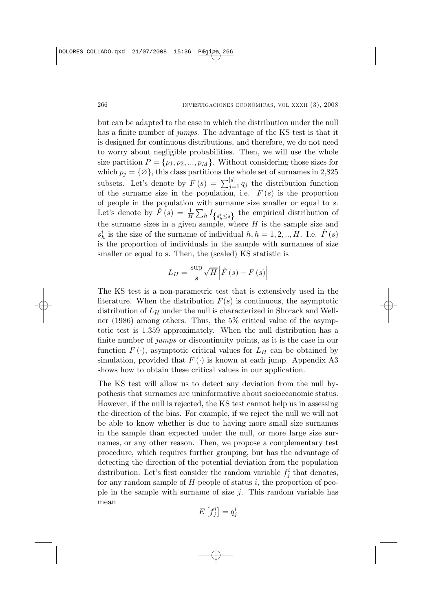but can be adapted to the case in which the distribution under the null has a finite number of *jumps*. The advantage of the KS test is that it is designed for continuous distributions, and therefore, we do not need to worry about negligible probabilities. Then, we will use the whole size partition  $P = \{p_1, p_2, ..., p_M\}$ . Without considering those sizes for which  $p_i = {\emptyset}$ , this class partitions the whole set of surnames in 2,825 which  $p_j - \chi_{j}$ , this class partitions the whole set of surfames in 2,025<br>subsets. Let's denote by  $F(s) = \sum_{j=1}^{[s]} q_j$  the distribution function of the surname size in the population, i.e.  $F(s)$  is the proportion of people in the population with surname size smaller or equal to  $s$ . Let's denote by  $\hat{F}(s) = \frac{1}{H} \sum_{h} I_{\{s_h^i \leq s\}}$  the empirical distribution of the surname sizes in a given sample, where  $H$  is the sample size and  $s_h^i$  is the size of the surname of individual  $h, h = 1, 2, ..., H$ . I.e.  $\hat{F}(s)$ is the proportion of individuals in the sample with surnames of size smaller or equal to s. Then, the (scaled) KS statistic is

$$
L_H = \frac{\sup}{s} \sqrt{H} \left| \hat{F}\left(s\right) - F\left(s\right) \right|
$$

The KS test is a non-parametric test that is extensively used in the literature. When the distribution  $F(s)$  is continuous, the asymptotic distribution of  $L_H$  under the null is characterized in Shorack and Wellner (1986) among others. Thus, the 5% critical value of the asymptotic test is 1.359 approximately. When the null distribution has a finite number of *jumps* or discontinuity points, as it is the case in our function  $F(\cdot)$ , asymptotic critical values for  $L_H$  can be obtained by simulation, provided that  $F(\cdot)$  is known at each jump. Appendix A3 shows how to obtain these critical values in our application.

The KS test will allow us to detect any deviation from the null hypothesis that surnames are uninformative about socioeconomic status. However, if the null is rejected, the KS test cannot help us in assessing the direction of the bias. For example, if we reject the null we will not be able to know whether is due to having more small size surnames in the sample than expected under the null, or more large size surnames, or any other reason. Then, we propose a complementary test procedure, which requires further grouping, but has the advantage of detecting the direction of the potential deviation from the population distribution. Let's first consider the random variable  $f_j^i$  that denotes, for any random sample of  $H$  people of status i, the proportion of people in the sample with surname of size  $j$ . This random variable has mean ¤

$$
E\left[f_j^i\right] = q_j^i
$$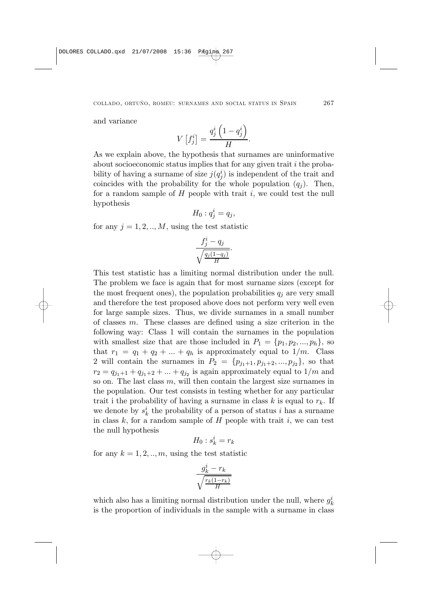and variance

$$
V\left[f_j^i\right] = \frac{q_j^i\left(1-q_j^i\right)}{H}.
$$

As we explain above, the hypothesis that surnames are uninformative about socioeconomic status implies that for any given trait  $i$  the probability of having a surname of size  $j(q_j^i)$  is independent of the trait and coincides with the probability for the whole population  $(q_i)$ . Then, for a random sample of  $H$  people with trait  $i$ , we could test the null hypothesis

$$
H_0: q_j^i = q_j,
$$

for any  $j = 1, 2, ..., M$ , using the test statistic

$$
\frac{f_j^i - q_j}{\sqrt{\frac{q_j(1-q_j)}{H}}}.
$$

This test statistic has a limiting normal distribution under the null. The problem we face is again that for most surname sizes (except for the most frequent ones), the population probabilities  $q_i$  are very small and therefore the test proposed above does not perform very well even for large sample sizes. Thus, we divide surnames in a small number of classes  $m$ . These classes are defined using a size criterion in the following way: Class 1 will contain the surnames in the population with smallest size that are those included in  $P_1 = \{p_1, p_2, ..., p_h\}$ , so that  $r_1 = q_1 + q_2 + \ldots + q_h$  is approximately equal to  $1/m$ . Class 2 will contain the surnames in  $P_2 = \{p_{j_1+1}, p_{j_1+2}, ..., p_{j_2}\},$  so that  $r_2 = q_{i_1+1} + q_{i_1+2} + ... + q_{i_2}$  is again approximately equal to  $1/m$  and so on. The last class  $m$ , will then contain the largest size surnames in the population. Our test consists in testing whether for any particular trait i the probability of having a surname in class  $k$  is equal to  $r_k$ . If we denote by  $s_k^i$  the probability of a person of status i has a surname in class k, for a random sample of  $H$  people with trait i, we can test the null hypothesis

$$
H_0: s_k^i = r_k
$$

for any  $k = 1, 2, ..., m$ , using the test statistic

$$
\frac{g_k^i-r_k}{\sqrt{\frac{r_k(1-r_k)}{H}}}
$$

which also has a limiting normal distribution under the null, where  $g_k^i$ is the proportion of individuals in the sample with a surname in class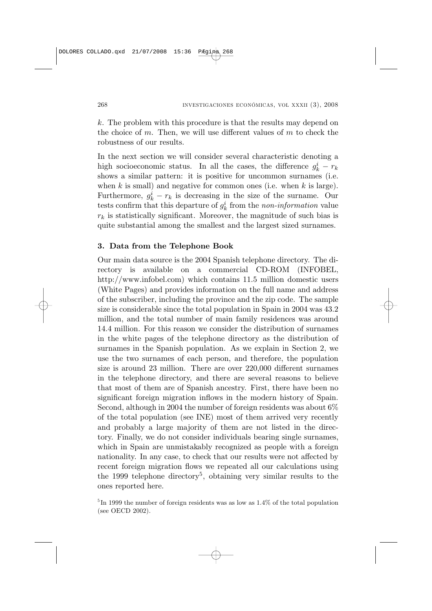$k$ . The problem with this procedure is that the results may depend on the choice of m. Then, we will use different values of m to check the robustness of our results.

In the next section we will consider several characteristic denoting a high socioeconomic status. In all the cases, the difference  $g_k^i - r_k$ shows a similar pattern: it is positive for uncommon surnames (i.e. when  $k$  is small) and negative for common ones (i.e. when  $k$  is large). Furthermore,  $g_k^i - r_k$  is decreasing in the size of the surname. Our tests confirm that this departure of  $g_k^i$  from the *non-information* value  $r_k$  is statistically significant. Moreover, the magnitude of such bias is quite substantial among the smallest and the largest sized surnames.

# 3. Data from the Telephone Book

Our main data source is the 2004 Spanish telephone directory. The directory is available on a commercial CD-ROM (INFOBEL, http://www.infobel.com) which contains 11.5 million domestic users (White Pages) and provides information on the full name and address of the subscriber, including the province and the zip code. The sample size is considerable since the total population in Spain in 2004 was 43.2 million, and the total number of main family residences was around 14.4 million. For this reason we consider the distribution of surnames in the white pages of the telephone directory as the distribution of surnames in the Spanish population. As we explain in Section 2, we use the two surnames of each person, and therefore, the population size is around 23 million. There are over 220,000 different surnames in the telephone directory, and there are several reasons to believe that most of them are of Spanish ancestry. First, there have been no significant foreign migration inflows in the modern history of Spain. Second, although in 2004 the number of foreign residents was about 6% of the total population (see INE) most of them arrived very recently and probably a large majority of them are not listed in the directory. Finally, we do not consider individuals bearing single surnames, which in Spain are unmistakably recognized as people with a foreign nationality. In any case, to check that our results were not affected by recent foreign migration flows we repeated all our calculations using the 1999 telephone directory<sup>5</sup>, obtaining very similar results to the ones reported here.

<sup>5</sup> In 1999 the number of foreign residents was as low as 1.4% of the total population (see OECD 2002).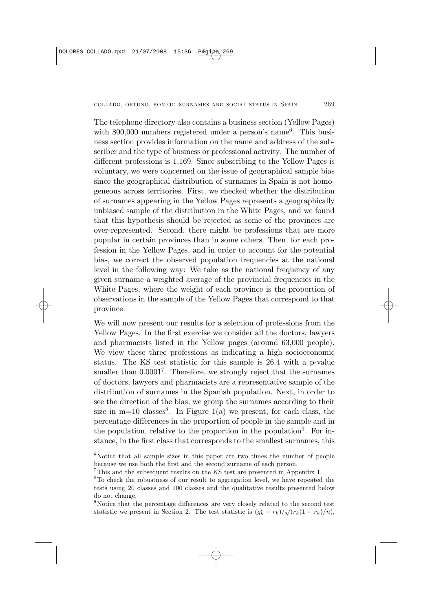The telephone directory also contains a business section (Yellow Pages) with  $800,000$  numbers registered under a person's name<sup>6</sup>. This business section provides information on the name and address of the subscriber and the type of business or professional activity. The number of different professions is 1,169. Since subscribing to the Yellow Pages is voluntary, we were concerned on the issue of geographical sample bias since the geographical distribution of surnames in Spain is not homogeneous across territories. First, we checked whether the distribution of surnames appearing in the Yellow Pages represents a geographically unbiased sample of the distribution in the White Pages, and we found that this hypothesis should be rejected as some of the provinces are over-represented. Second, there might be professions that are more popular in certain provinces than in some others. Then, for each profession in the Yellow Pages, and in order to account for the potential bias, we correct the observed population frequencies at the national level in the following way: We take as the national frequency of any given surname a weighted average of the provincial frequencies in the White Pages, where the weight of each province is the proportion of observations in the sample of the Yellow Pages that correspond to that province.

We will now present our results for a selection of professions from the Yellow Pages. In the first exercise we consider all the doctors, lawyers and pharmacists listed in the Yellow pages (around 63,000 people). We view these three professions as indicating a high socioeconomic status. The KS test statistic for this sample is 26.4 with a p-value smaller than  $0.0001<sup>7</sup>$ . Therefore, we strongly reject that the surnames of doctors, lawyers and pharmacists are a representative sample of the distribution of surnames in the Spanish population. Next, in order to see the direction of the bias, we group the surnames according to their size in  $m=10$  classes<sup>8</sup>. In Figure 1(a) we present, for each class, the percentage differences in the proportion of people in the sample and in the population, relative to the proportion in the population<sup>9</sup>. For instance, in the first class that corresponds to the smallest surnames, this

 $6$ Notice that all sample sizes in this paper are two times the number of people because we use both the first and the second surname of each person.

<sup>7</sup>This and the subsequent results on the KS test are presented in Appendix 1.

<sup>8</sup>To check the robustness of our result to aggregation level, we have repeated the tests using 20 classes and 100 classes and the qualitative results presented below do not change.

 $9$ Notice that the percentage differences are very closely related to the second test statistic we present in Section 2. The test statistic is  $(g_k^i - r_k)/\sqrt{(r_k(1 - r_k)/n)}$ ,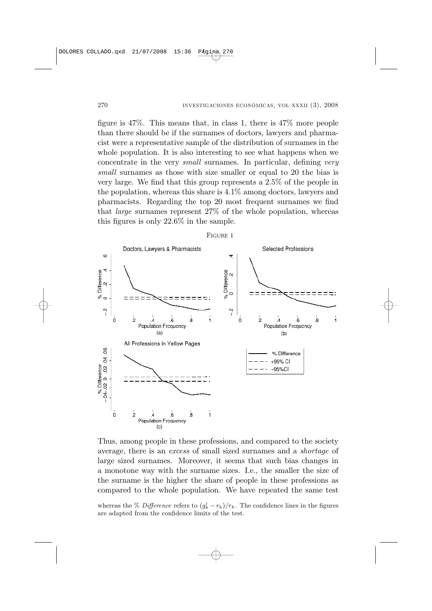figure is 47%. This means that, in class 1, there is 47% more people than there should be if the surnames of doctors, lawyers and pharmacist were a representative sample of the distribution of surnames in the whole population. It is also interesting to see what happens when we concentrate in the very small surnames. In particular, defining very small surnames as those with size smaller or equal to 20 the bias is very large. We find that this group represents a 2.5% of the people in the population, whereas this share is 4.1% among doctors, lawyers and pharmacists. Regarding the top 20 most frequent surnames we find that large surnames represent 27% of the whole population, whereas this figures is only 22.6% in the sample.



Thus, among people in these professions, and compared to the society average, there is an excess of small sized surnames and a shortage of large sized surnames. Moreover, it seems that such bias changes in a monotone way with the surname sizes. I.e., the smaller the size of the surname is the higher the share of people in these professions as compared to the whole population. We have repeated the same test

whereas the % Difference refers to  $(g_k^i - r_k)/r_k$ . The confidence lines in the figures are adapted from the confidence limits of the test.

FIGURE 1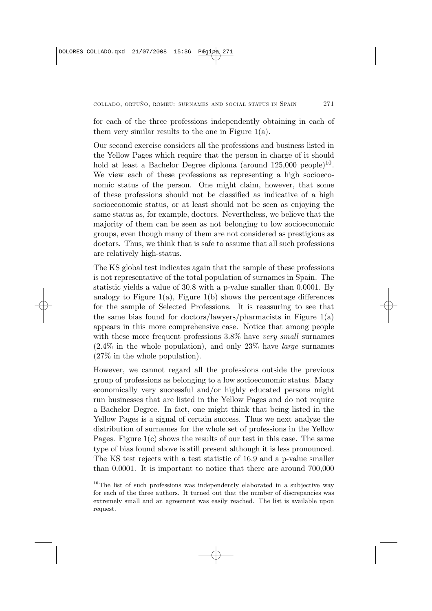for each of the three professions independently obtaining in each of them very similar results to the one in Figure  $1(a)$ .

Our second exercise considers all the professions and business listed in the Yellow Pages which require that the person in charge of it should hold at least a Bachelor Degree diploma (around  $125,000$  people)<sup>10</sup>. We view each of these professions as representing a high socioeconomic status of the person. One might claim, however, that some of these professions should not be classified as indicative of a high socioeconomic status, or at least should not be seen as enjoying the same status as, for example, doctors. Nevertheless, we believe that the majority of them can be seen as not belonging to low socioeconomic groups, even though many of them are not considered as prestigious as doctors. Thus, we think that is safe to assume that all such professions are relatively high-status.

The KS global test indicates again that the sample of these professions is not representative of the total population of surnames in Spain. The statistic yields a value of 30.8 with a p-value smaller than 0.0001. By analogy to Figure  $1(a)$ , Figure  $1(b)$  shows the percentage differences for the sample of Selected Professions. It is reassuring to see that the same bias found for doctors/lawyers/pharmacists in Figure 1(a) appears in this more comprehensive case. Notice that among people with these more frequent professions  $3.8\%$  have very small surnames  $(2.4\%$  in the whole population), and only  $23\%$  have *large* surnames (27% in the whole population).

However, we cannot regard all the professions outside the previous group of professions as belonging to a low socioeconomic status. Many economically very successful and/or highly educated persons might run businesses that are listed in the Yellow Pages and do not require a Bachelor Degree. In fact, one might think that being listed in the Yellow Pages is a signal of certain success. Thus we next analyze the distribution of surnames for the whole set of professions in the Yellow Pages. Figure 1(c) shows the results of our test in this case. The same type of bias found above is still present although it is less pronounced. The KS test rejects with a test statistic of 16.9 and a p-value smaller than 0.0001. It is important to notice that there are around 700,000

 $10$ <sup>10</sup>The list of such professions was independently elaborated in a subjective way for each of the three authors. It turned out that the number of discrepancies was extremely small and an agreement was easily reached. The list is available upon request.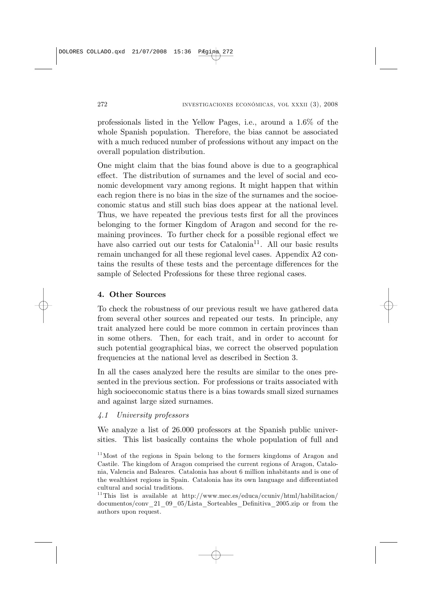professionals listed in the Yellow Pages, i.e., around a 1.6% of the whole Spanish population. Therefore, the bias cannot be associated with a much reduced number of professions without any impact on the overall population distribution.

One might claim that the bias found above is due to a geographical effect. The distribution of surnames and the level of social and economic development vary among regions. It might happen that within each region there is no bias in the size of the surnames and the socioeconomic status and still such bias does appear at the national level. Thus, we have repeated the previous tests first for all the provinces belonging to the former Kingdom of Aragon and second for the remaining provinces. To further check for a possible regional effect we have also carried out our tests for  $\text{Catalonia}^{11}$ . All our basic results remain unchanged for all these regional level cases. Appendix A2 contains the results of these tests and the percentage differences for the sample of Selected Professions for these three regional cases.

# 4. Other Sources

To check the robustness of our previous result we have gathered data from several other sources and repeated our tests. In principle, any trait analyzed here could be more common in certain provinces than in some others. Then, for each trait, and in order to account for such potential geographical bias, we correct the observed population frequencies at the national level as described in Section 3.

In all the cases analyzed here the results are similar to the ones presented in the previous section. For professions or traits associated with high socioeconomic status there is a bias towards small sized surnames and against large sized surnames.

# 4.1 University professors

We analyze a list of 26.000 professors at the Spanish public universities. This list basically contains the whole population of full and

<sup>&</sup>lt;sup>11</sup> Most of the regions in Spain belong to the formers kingdoms of Aragon and Castile. The kingdom of Aragon comprised the current regions of Aragon, Catalonia, Valencia and Baleares. Catalonia has about 6 million inhabitants and is one of the wealthiest regions in Spain. Catalonia has its own language and differentiated cultural and social traditions.

<sup>&</sup>lt;sup>11</sup>This list is available at http://www.mec.es/educa/ccuniv/html/habilitacion/ documentos/conv\_21\_09\_05/Lista\_Sorteables\_Definitiva\_2005.zip or from the authors upon request.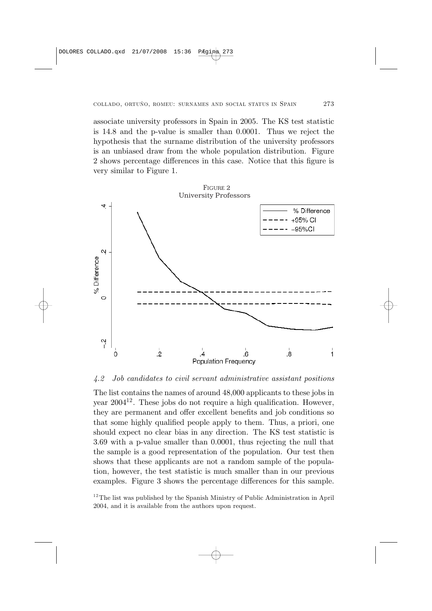associate university professors in Spain in 2005. The KS test statistic is 14.8 and the p-value is smaller than 0.0001. Thus we reject the hypothesis that the surname distribution of the university professors is an unbiased draw from the whole population distribution. Figure 2 shows percentage differences in this case. Notice that this figure is very similar to Figure 1.





#### 4.2 Job candidates to civil servant administrative assistant positions

The list contains the names of around 48,000 applicants to these jobs in year  $2004^{12}$ . These jobs do not require a high qualification. However, they are permanent and offer excellent benefits and job conditions so that some highly qualified people apply to them. Thus, a priori, one should expect no clear bias in any direction. The KS test statistic is 3.69 with a p-value smaller than 0.0001, thus rejecting the null that the sample is a good representation of the population. Our test then shows that these applicants are not a random sample of the population, however, the test statistic is much smaller than in our previous examples. Figure 3 shows the percentage differences for this sample.

 $12$ <sup>12</sup> The list was published by the Spanish Ministry of Public Administration in April 2004, and it is available from the authors upon request.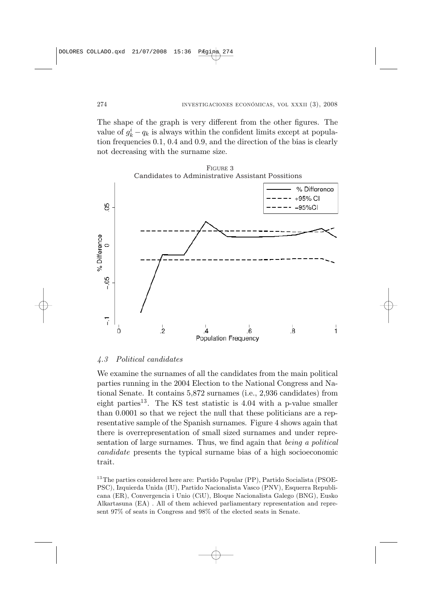The shape of the graph is very different from the other figures. The value of  $g_k^i - q_k$  is always within the confident limits except at population frequencies 0.1, 0.4 and 0.9, and the direction of the bias is clearly not decreasing with the surname size.



### 4.3 Political candidates

We examine the surnames of all the candidates from the main political parties running in the 2004 Election to the National Congress and National Senate. It contains 5,872 surnames (i.e., 2,936 candidates) from eight parties<sup>13</sup>. The KS test statistic is  $4.04$  with a p-value smaller than 0.0001 so that we reject the null that these politicians are a representative sample of the Spanish surnames. Figure 4 shows again that there is overrepresentation of small sized surnames and under representation of large surnames. Thus, we find again that being a political candidate presents the typical surname bias of a high socioeconomic trait.

 $13$ The parties considered here are: Partido Popular (PP), Partido Socialista (PSOE-PSC), Izquierda Unida (IU), Partido Nacionalista Vasco (PNV), Esquerra Republicana (ER), Convergencia i Unio (CiU), Bloque Nacionalista Galego (BNG), Eusko Alkartasuna (EA) . All of them achieved parliamentary representation and represent 97% of seats in Congress and 98% of the elected seats in Senate.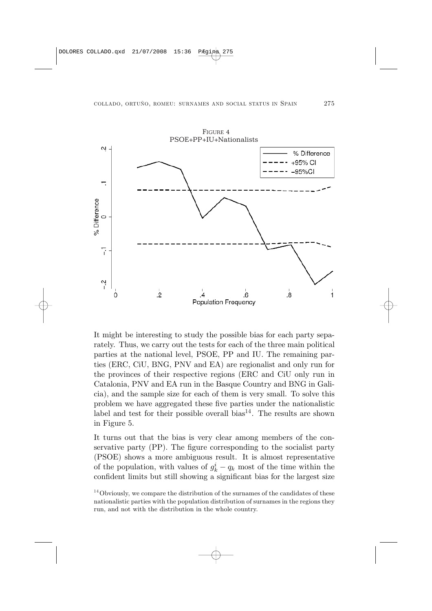

It might be interesting to study the possible bias for each party separately. Thus, we carry out the tests for each of the three main political parties at the national level, PSOE, PP and IU. The remaining parties (ERC, CiU, BNG, PNV and EA) are regionalist and only run for the provinces of their respective regions (ERC and CiU only run in Catalonia, PNV and EA run in the Basque Country and BNG in Galicia), and the sample size for each of them is very small. To solve this problem we have aggregated these five parties under the nationalistic label and test for their possible overall bias<sup>14</sup>. The results are shown in Figure 5.

It turns out that the bias is very clear among members of the conservative party (PP). The figure corresponding to the socialist party (PSOE) shows a more ambiguous result. It is almost representative of the population, with values of  $g_k^i - q_k$  most of the time within the confident limits but still showing a significant bias for the largest size

 $14$  Obviously, we compare the distribution of the surnames of the candidates of these nationalistic parties with the population distribution of surnames in the regions they run, and not with the distribution in the whole country.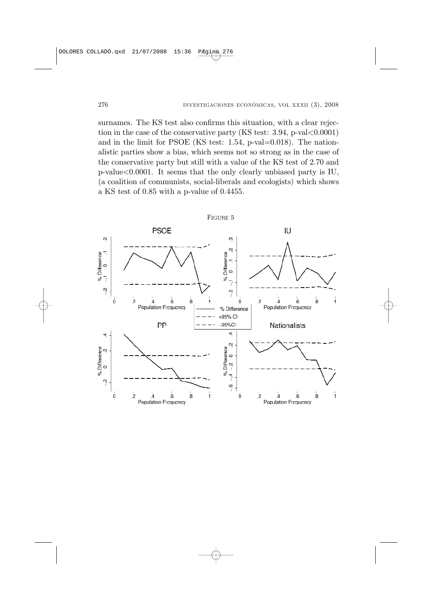surnames. The KS test also confirms this situation, with a clear rejection in the case of the conservative party (KS test:  $3.94$ , p-val $<0.0001$ ) and in the limit for PSOE (KS test: 1.54, p-val=0.018). The nationalistic parties show a bias, which seems not so strong as in the case of the conservative party but still with a value of the KS test of 2.70 and  $p$ -value $<0.0001$ . It seems that the only clearly unbiased party is IU, (a coalition of communists, social-liberals and ecologists) which shows a KS test of 0.85 with a p-value of 0.4455.

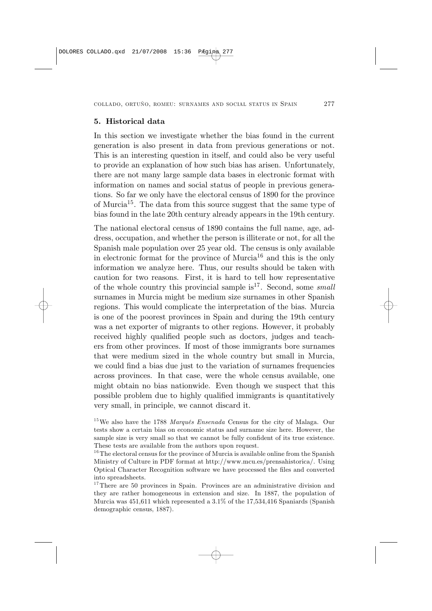#### 5. Historical data

In this section we investigate whether the bias found in the current generation is also present in data from previous generations or not. This is an interesting question in itself, and could also be very useful to provide an explanation of how such bias has arisen. Unfortunately, there are not many large sample data bases in electronic format with information on names and social status of people in previous generations. So far we only have the electoral census of 1890 for the province of Murcia<sup>15</sup>. The data from this source suggest that the same type of bias found in the late 20th century already appears in the 19th century.

The national electoral census of 1890 contains the full name, age, address, occupation, and whether the person is illiterate or not, for all the Spanish male population over 25 year old. The census is only available in electronic format for the province of  $Murcia^{16}$  and this is the only information we analyze here. Thus, our results should be taken with caution for two reasons. First, it is hard to tell how representative of the whole country this provincial sample  $is^{17}$ . Second, some small surnames in Murcia might be medium size surnames in other Spanish regions. This would complicate the interpretation of the bias. Murcia is one of the poorest provinces in Spain and during the 19th century was a net exporter of migrants to other regions. However, it probably received highly qualified people such as doctors, judges and teachers from other provinces. If most of those immigrants bore surnames that were medium sized in the whole country but small in Murcia, we could find a bias due just to the variation of surnames frequencies across provinces. In that case, were the whole census available, one might obtain no bias nationwide. Even though we suspect that this possible problem due to highly qualified immigrants is quantitatively very small, in principle, we cannot discard it.

<sup>&</sup>lt;sup>15</sup>We also have the 1788 *Marqués Ensenada* Census for the city of Malaga. Our tests show a certain bias on economic status and surname size here. However, the sample size is very small so that we cannot be fully confident of its true existence. These tests are available from the authors upon request.

 $16$ The electoral census for the province of Murcia is available online from the Spanish Ministry of Culture in PDF format at http://www.mcu.es/prensahistorica/. Using Optical Character Recognition software we have processed the files and converted into spreadsheets.

 $17$ There are 50 provinces in Spain. Provinces are an administrative division and they are rather homogeneous in extension and size. In 1887, the population of Murcia was 451,611 which represented a 3.1% of the 17,534,416 Spaniards (Spanish demographic census, 1887).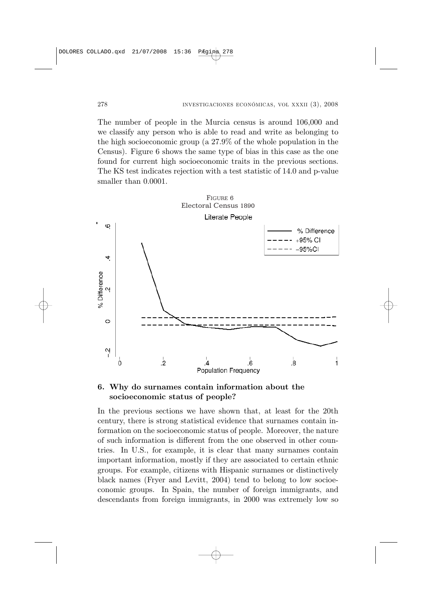The number of people in the Murcia census is around 106,000 and we classify any person who is able to read and write as belonging to the high socioeconomic group (a 27.9% of the whole population in the Census). Figure 6 shows the same type of bias in this case as the one found for current high socioeconomic traits in the previous sections. The KS test indicates rejection with a test statistic of 14.0 and p-value smaller than 0.0001.



## 6. Why do surnames contain information about the socioeconomic status of people?

In the previous sections we have shown that, at least for the 20th century, there is strong statistical evidence that surnames contain information on the socioeconomic status of people. Moreover, the nature of such information is different from the one observed in other countries. In U.S., for example, it is clear that many surnames contain important information, mostly if they are associated to certain ethnic groups. For example, citizens with Hispanic surnames or distinctively black names (Fryer and Levitt, 2004) tend to belong to low socioeconomic groups. In Spain, the number of foreign immigrants, and descendants from foreign immigrants, in 2000 was extremely low so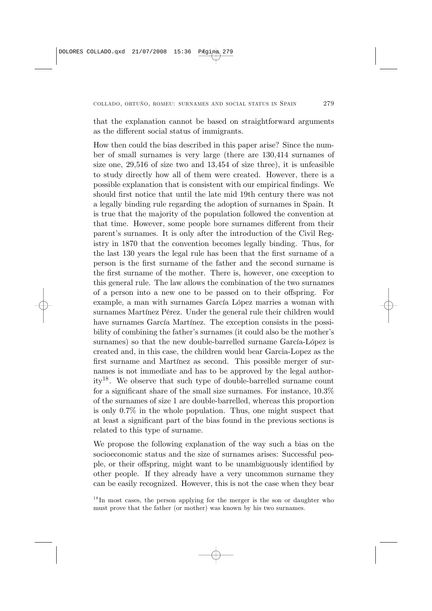that the explanation cannot be based on straightforward arguments as the different social status of immigrants.

How then could the bias described in this paper arise? Since the number of small surnames is very large (there are 130,414 surnames of size one, 29,516 of size two and 13,454 of size three), it is unfeasible to study directly how all of them were created. However, there is a possible explanation that is consistent with our empirical findings. We should first notice that until the late mid 19th century there was not a legally binding rule regarding the adoption of surnames in Spain. It is true that the majority of the population followed the convention at that time. However, some people bore surnames different from their parent's surnames. It is only after the introduction of the Civil Registry in 1870 that the convention becomes legally binding. Thus, for the last 130 years the legal rule has been that the first surname of a person is the first surname of the father and the second surname is the first surname of the mother. There is, however, one exception to this general rule. The law allows the combination of the two surnames of a person into a new one to be passed on to their offspring. For example, a man with surnames García López marries a woman with surnames Martínez Pérez. Under the general rule their children would have surnames García Martínez. The exception consists in the possibility of combining the father's surnames (it could also be the mother's surnames) so that the new double-barrelled surname García-López is created and, in this case, the children would bear Garcia-Lopez as the first surname and Martínez as second. This possible merger of surnames is not immediate and has to be approved by the legal authority18. We observe that such type of double-barrelled surname count for a significant share of the small size surnames. For instance, 10.3% of the surnames of size 1 are double-barrelled, whereas this proportion is only 0.7% in the whole population. Thus, one might suspect that at least a significant part of the bias found in the previous sections is related to this type of surname.

We propose the following explanation of the way such a bias on the socioeconomic status and the size of surnames arises: Successful people, or their offspring, might want to be unambiguously identified by other people. If they already have a very uncommon surname they can be easily recognized. However, this is not the case when they bear

 $1<sup>8</sup>$  In most cases, the person applying for the merger is the son or daughter who must prove that the father (or mother) was known by his two surnames.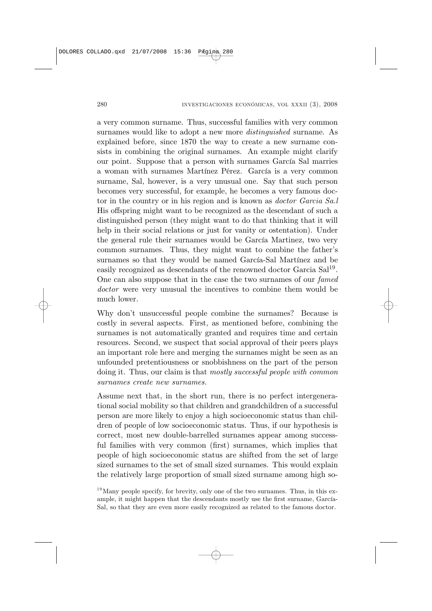a very common surname. Thus, successful families with very common surnames would like to adopt a new more distinguished surname. As explained before, since 1870 the way to create a new surname consists in combining the original surnames. An example might clarify our point. Suppose that a person with surnames García Sal marries a woman with surnames Martínez Pérez. García is a very common surname, Sal, however, is a very unusual one. Say that such person becomes very successful, for example, he becomes a very famous doctor in the country or in his region and is known as doctor Garcia Sa.l His offspring might want to be recognized as the descendant of such a distinguished person (they might want to do that thinking that it will help in their social relations or just for vanity or ostentation). Under the general rule their surnames would be García Martinez, two very common surnames. Thus, they might want to combine the father's surnames so that they would be named García-Sal Martínez and be easily recognized as descendants of the renowned doctor Garcia Sal<sup>19</sup>. One can also suppose that in the case the two surnames of our famed doctor were very unusual the incentives to combine them would be much lower.

Why don't unsuccessful people combine the surnames? Because is costly in several aspects. First, as mentioned before, combining the surnames is not automatically granted and requires time and certain resources. Second, we suspect that social approval of their peers plays an important role here and merging the surnames might be seen as an unfounded pretentiousness or snobbishness on the part of the person doing it. Thus, our claim is that mostly successful people with common surnames create new surnames.

Assume next that, in the short run, there is no perfect intergenerational social mobility so that children and grandchildren of a successful person are more likely to enjoy a high socioeconomic status than children of people of low socioeconomic status. Thus, if our hypothesis is correct, most new double-barrelled surnames appear among successful families with very common (first) surnames, which implies that people of high socioeconomic status are shifted from the set of large sized surnames to the set of small sized surnames. This would explain the relatively large proportion of small sized surname among high so-

 $19$ Many people specify, for brevity, only one of the two surnames. Thus, in this example, it might happen that the descendants mostly use the first surname, García-Sal, so that they are even more easily recognized as related to the famous doctor.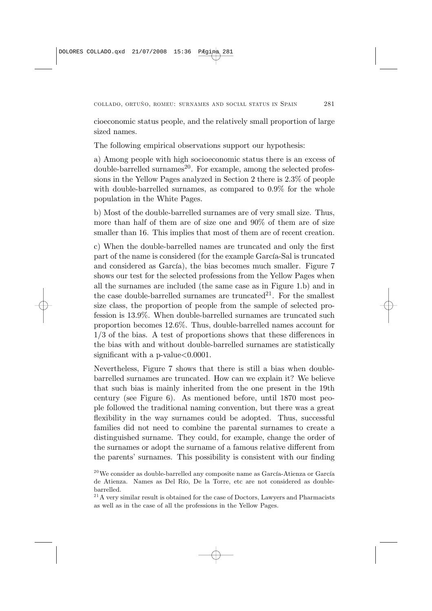cioeconomic status people, and the relatively small proportion of large sized names.

The following empirical observations support our hypothesis:

a) Among people with high socioeconomic status there is an excess of  $\alpha$  double-barrelled surnames<sup>20</sup>. For example, among the selected professions in the Yellow Pages analyzed in Section 2 there is 2.3% of people with double-barrelled surnames, as compared to 0.9% for the whole population in the White Pages.

b) Most of the double-barrelled surnames are of very small size. Thus, more than half of them are of size one and 90% of them are of size smaller than 16. This implies that most of them are of recent creation.

c) When the double-barrelled names are truncated and only the first part of the name is considered (for the example García-Sal is truncated and considered as García), the bias becomes much smaller. Figure 7 shows our test for the selected professions from the Yellow Pages when all the surnames are included (the same case as in Figure 1.b) and in the case double-barrelled surnames are truncated<sup>21</sup>. For the smallest size class, the proportion of people from the sample of selected profession is 13.9%. When double-barrelled surnames are truncated such proportion becomes 12.6%. Thus, double-barrelled names account for  $1/3$  of the bias. A test of proportions shows that these differences in the bias with and without double-barrelled surnames are statistically significant with a p-value $<0.0001$ .

Nevertheless, Figure 7 shows that there is still a bias when doublebarrelled surnames are truncated. How can we explain it? We believe that such bias is mainly inherited from the one present in the 19th century (see Figure 6). As mentioned before, until 1870 most people followed the traditional naming convention, but there was a great flexibility in the way surnames could be adopted. Thus, successful families did not need to combine the parental surnames to create a distinguished surname. They could, for example, change the order of the surnames or adopt the surname of a famous relative different from the parents' surnames. This possibility is consistent with our finding

 $^{20}$ We consider as double-barrelled any composite name as García-Atienza or García de Atienza. Names as Del Río, De la Torre, etc are not considered as doublebarrelled.

 $2<sup>1</sup>$  A very similar result is obtained for the case of Doctors, Lawyers and Pharmacists as well as in the case of all the professions in the Yellow Pages.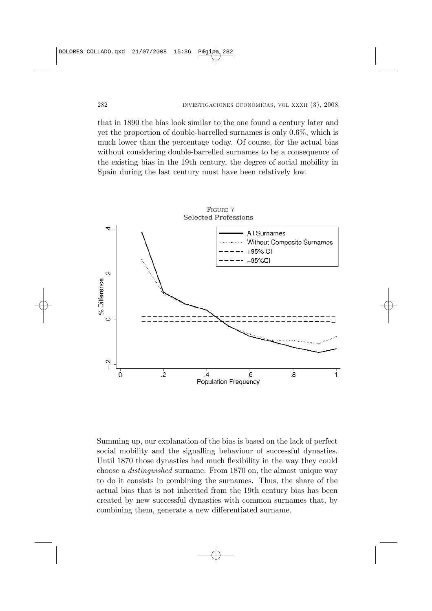that in 1890 the bias look similar to the one found a century later and yet the proportion of double-barrelled surnames is only 0.6%, which is much lower than the percentage today. Of course, for the actual bias without considering double-barrelled surnames to be a consequence of the existing bias in the 19th century, the degree of social mobility in Spain during the last century must have been relatively low.



Summing up, our explanation of the bias is based on the lack of perfect social mobility and the signalling behaviour of successful dynasties. Until 1870 those dynasties had much flexibility in the way they could choose a distinguished surname. From 1870 on, the almost unique way to do it consists in combining the surnames. Thus, the share of the actual bias that is not inherited from the 19th century bias has been created by new successful dynasties with common surnames that, by combining them, generate a new differentiated surname.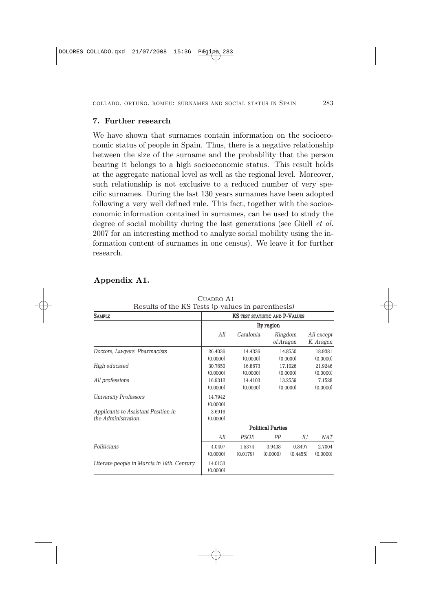### 7. Further research

We have shown that surnames contain information on the socioeconomic status of people in Spain. Thus, there is a negative relationship between the size of the surname and the probability that the person bearing it belongs to a high socioeconomic status. This result holds at the aggregate national level as well as the regional level. Moreover, such relationship is not exclusive to a reduced number of very specific surnames. During the last 130 years surnames have been adopted following a very well defined rule. This fact, together with the socioeconomic information contained in surnames, can be used to study the degree of social mobility during the last generations (see Güell *et al.*) 2007 for an interesting method to analyze social mobility using the information content of surnames in one census). We leave it for further research.

## Appendix A1.

| Results of the KS Tests (p-values in parenthesis)          |                                             |                     |                    |                      |                         |
|------------------------------------------------------------|---------------------------------------------|---------------------|--------------------|----------------------|-------------------------|
| <b>SAMPLE</b>                                              | KS TEST STATISTIC AND P-VALUES<br>By region |                     |                    |                      |                         |
|                                                            |                                             |                     |                    |                      |                         |
|                                                            | All                                         | Catalonia           |                    | Kingdom<br>of.Aragon | All except<br>K. Aragon |
| Doctors, Lawyers, Pharmacists                              | 26.4036<br>(0.0000)                         | 14.4336<br>(0.0000) |                    | 14.8550<br>(0.0000)  | 18.9381<br>(0.0000)     |
| High educated                                              | 30.7650<br>(0.0000)                         | 16.8673<br>(0.0000) |                    | 17.1026<br>(0.0000)  | 21.9246<br>(0.0000)     |
| All professions                                            | 16.9312<br>(0.0000)                         | 14.4103<br>(0.0000) |                    | 13.2559<br>(0.0000)  | 7.1528<br>(0.0000)      |
| <b>University Professors</b>                               | 14.7942<br>(0.0000)                         |                     |                    |                      |                         |
| Applicants to Assistant Position in<br>the Administration. | 3.6916<br>(0.0000)                          |                     |                    |                      |                         |
|                                                            | <b>Political Parties</b>                    |                     |                    |                      |                         |
|                                                            | All                                         | <b>PSOE</b>         | PP                 | IU                   | NAT                     |
| Politicians                                                | 4.0407<br>(0.0000)                          | 1.5374<br>(0.0179)  | 3.9438<br>(0.0000) | 0.8497<br>(0.4455)   | 2.7004<br>(0.0000)      |
| Literate people in Murcia in 19th. Century                 | 14.0153<br>(0.0000)                         |                     |                    |                      |                         |
|                                                            |                                             |                     |                    |                      |                         |

CUADRO A1 Results of the KS Tests (p-values in parenthesis)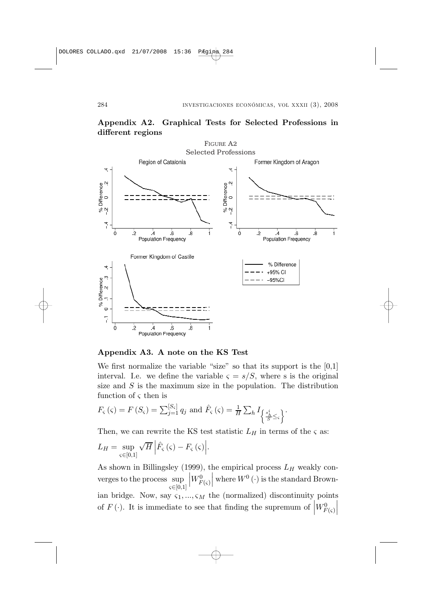

### Appendix A2. Graphical Tests for Selected Professions in different regions

### Appendix A3. A note on the KS Test

We first normalize the variable "size" so that its support is the [0,1] interval. I.e. we define the variable  $\varsigma = s/S$ , where s is the original size and  $S$  is the maximum size in the population. The distribution function of  $\varsigma$  then is

$$
F_{\varsigma}\left(\varsigma\right)=F\left(S_{\varsigma}\right)=\sum_{j=1}^{\left[S_{\varsigma}\right]}q_{j} \text{ and } \hat{F}_{\varsigma}\left(\varsigma\right)=\frac{1}{H}\sum_{h}I_{\left\{\frac{s_{h}^{i}}{S}\leq\varsigma\right\}}.
$$

Then, we can rewrite the KS test statistic  $L_H$  in terms of the  $\varsigma$  as:

$$
L_H = \sup_{\varsigma \in [0,1]} \sqrt{H} \left| \hat{F}_{\varsigma}(\varsigma) - F_{\varsigma}(\varsigma) \right|.
$$

As shown in Billingsley (1999), the empirical process  $L_H$  weakly converges to the process sup  $\varsigma \in [0,1]$  $\begin{vmatrix} W_{F(\varsigma)}^0 \end{vmatrix}$  $\begin{array}{l}\n\text{where } W^0(\cdot) \text{ is the standard Brown-}\n\end{array}$ ian bridge. Now, say  $\varsigma_1, ..., \varsigma_M$  the (normalized) discontinuity points of  $F(\cdot)$ . It is immediate to see that finding the supremum of  $\overline{\phantom{a}}$  $W_F^0$  $\tilde{F}(\varsigma)$  $\overline{\phantom{a}}$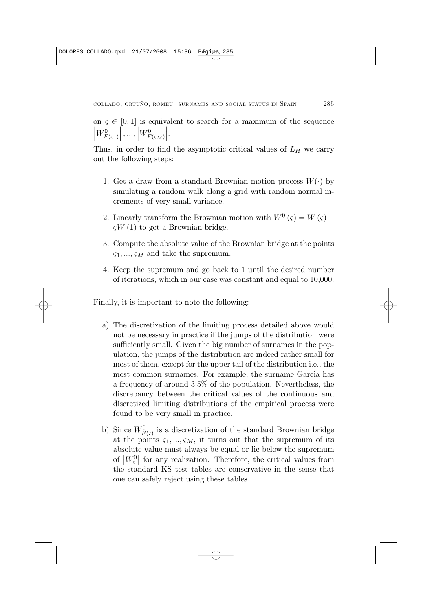on  $\varsigma \in [0,1]$  is equivalent to search for a maximum of the sequence  $W^0_{F(\varsigma 1)}$  $\left| \begin{array}{c} 0, -1 \\ \ldots \end{array} \right| W_{F(\varsigma_M)}^0$  $\vert$ .

Thus, in order to find the asymptotic critical values of  $L_H$  we carry out the following steps:

- 1. Get a draw from a standard Brownian motion process  $W(\cdot)$  by simulating a random walk along a grid with random normal increments of very small variance.
- 2. Linearly transform the Brownian motion with  $W^0(\varsigma) = W(\varsigma)$   $\zeta W(1)$  to get a Brownian bridge.
- 3. Compute the absolute value of the Brownian bridge at the points  $\varsigma_1, ..., \varsigma_M$  and take the supremum.
- 4. Keep the supremum and go back to 1 until the desired number of iterations, which in our case was constant and equal to 10,000.

Finally, it is important to note the following:

- a) The discretization of the limiting process detailed above would not be necessary in practice if the jumps of the distribution were sufficiently small. Given the big number of surnames in the population, the jumps of the distribution are indeed rather small for most of them, except for the upper tail of the distribution i.e., the most common surnames. For example, the surname Garcia has a frequency of around 3.5% of the population. Nevertheless, the discrepancy between the critical values of the continuous and discretized limiting distributions of the empirical process were found to be very small in practice.
- b) Since  $W_{F(\varsigma)}^0$  is a discretization of the standard Brownian bridge at the points  $\varsigma_1, ..., \varsigma_M$ , it turns out that the supremum of its absolute value must always be equal or lie below the supremum ¯ absolute value must always be equal or lie below the supremum<br>of  $|W_{\varsigma}^{0}|$  for any realization. Therefore, the critical values from the standard KS test tables are conservative in the sense that one can safely reject using these tables.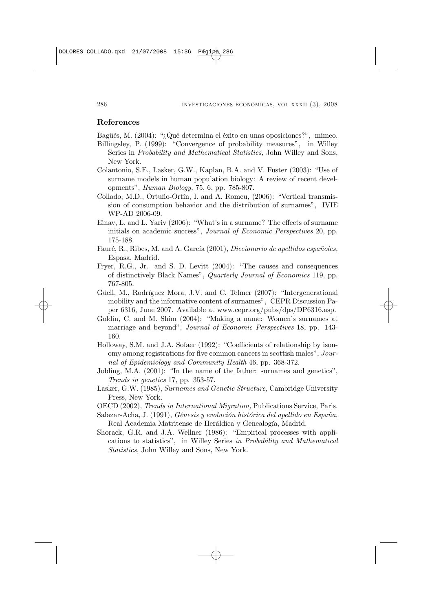#### References

- Bagüés, M. (2004): "¿Qué determina el éxito en unas oposiciones?", mimeo.
- Billingsley, P. (1999): "Convergence of probability measures", in Willey Series in Probability and Mathematical Statistics, John Willey and Sons, New York.
- Colantonio, S.E., Lasker, G.W., Kaplan, B.A. and V. Fuster (2003): "Use of surname models in human population biology: A review of recent developments", Human Biology, 75, 6, pp. 785-807.
- Collado, M.D., Ortuño-Ortín, I. and A. Romeu, (2006): "Vertical transmission of consumption behavior and the distribution of surnames", IVIE WP-AD 2006-09.
- Einav, L. and L. Yariv (2006): "What's in a surname? The effects of surname initials on academic success", Journal of Economic Perspectives 20, pp. 175-188.
- Fauré, R., Ribes, M. and A. García (2001), Diccionario de apellidos españoles, Espasa, Madrid.
- Fryer, R.G., Jr. and S. D. Levitt (2004): "The causes and consequences of distinctively Black Names", Quarterly Journal of Economics 119, pp. 767-805.
- Güell, M., Rodríguez Mora, J.V. and C. Telmer (2007): "Intergenerational mobility and the informative content of surnames", CEPR Discussion Paper 6316, June 2007. Available at www.cepr.org/pubs/dps/DP6316.asp.
- Goldin, C. and M. Shim (2004): "Making a name: Women's surnames at marriage and beyond", Journal of Economic Perspectives 18, pp. 143- 160.
- Holloway, S.M. and J.A. Sofaer (1992): "Coefficients of relationship by isonomy among registrations for five common cancers in scottish males", Journal of Epidemiology and Community Health 46, pp. 368-372.
- Jobling, M.A. (2001): "In the name of the father: surnames and genetics", Trends in genetics 17, pp. 353-57.
- Lasker, G.W. (1985), Surnames and Genetic Structure, Cambridge University Press, New York.
- OECD (2002), Trends in International Migration, Publications Service, Paris.
- Salazar-Acha, J. (1991), Génesis y evolución histórica del apellido en España, Real Academia Matritense de Heráldica y Genealogía, Madrid.
- Shorack, G.R. and J.A. Wellner (1986): "Empirical processes with applications to statistics", in Willey Series in Probability and Mathematical Statistics, John Willey and Sons, New York.